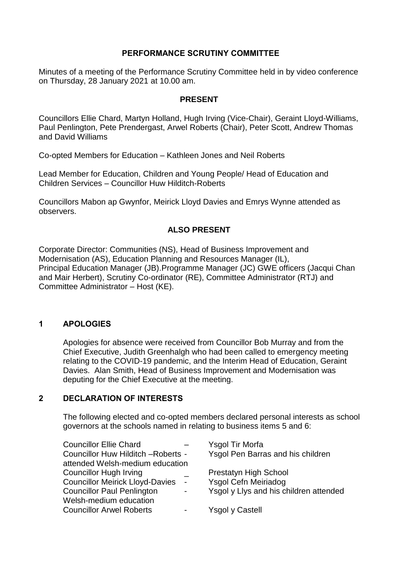## **PERFORMANCE SCRUTINY COMMITTEE**

Minutes of a meeting of the Performance Scrutiny Committee held in by video conference on Thursday, 28 January 2021 at 10.00 am.

### **PRESENT**

Councillors Ellie Chard, Martyn Holland, Hugh Irving (Vice-Chair), Geraint Lloyd-Williams, Paul Penlington, Pete Prendergast, Arwel Roberts (Chair), Peter Scott, Andrew Thomas and David Williams

Co-opted Members for Education – Kathleen Jones and Neil Roberts

Lead Member for Education, Children and Young People/ Head of Education and Children Services – Councillor Huw Hilditch-Roberts

Councillors Mabon ap Gwynfor, Meirick Lloyd Davies and Emrys Wynne attended as observers.

## **ALSO PRESENT**

Corporate Director: Communities (NS), Head of Business Improvement and Modernisation (AS), Education Planning and Resources Manager (IL), Principal Education Manager (JB).Programme Manager (JC) GWE officers (Jacqui Chan and Mair Herbert), Scrutiny Co-ordinator (RE), Committee Administrator (RTJ) and Committee Administrator – Host (KE).

## **1 APOLOGIES**

Apologies for absence were received from Councillor Bob Murray and from the Chief Executive, Judith Greenhalgh who had been called to emergency meeting relating to the COVID-19 pandemic, and the Interim Head of Education, Geraint Davies. Alan Smith, Head of Business Improvement and Modernisation was deputing for the Chief Executive at the meeting.

## **2 DECLARATION OF INTERESTS**

The following elected and co-opted members declared personal interests as school governors at the schools named in relating to business items 5 and 6:

| <b>Councillor Ellie Chard</b>                               | Ysgol Tir Morfa                        |
|-------------------------------------------------------------|----------------------------------------|
| Councillor Huw Hilditch - Roberts -                         | Ysgol Pen Barras and his children      |
| attended Welsh-medium education                             |                                        |
| <b>Councillor Hugh Irving</b>                               | <b>Prestatyn High School</b>           |
| <b>Councillor Meirick Lloyd-Davies</b><br>$\sim$ $\sim$     | <b>Ysgol Cefn Meiriadog</b>            |
| <b>Councillor Paul Penlington</b><br>$\blacksquare$         | Ysgol y Llys and his children attended |
| Welsh-medium education                                      |                                        |
| <b>Councillor Arwel Roberts</b><br>$\overline{\phantom{0}}$ | Ysgol y Castell                        |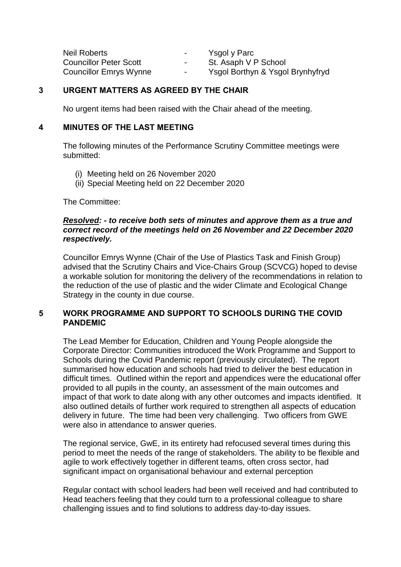| <b>Neil Roberts</b>           | $\sim$ | Ysgol y Parc                     |
|-------------------------------|--------|----------------------------------|
| <b>Councillor Peter Scott</b> | $\sim$ | St. Asaph V P School             |
| <b>Councillor Emrys Wynne</b> | $\sim$ | Ysgol Borthyn & Ysgol Brynhyfryd |

## **3 URGENT MATTERS AS AGREED BY THE CHAIR**

No urgent items had been raised with the Chair ahead of the meeting.

### **4 MINUTES OF THE LAST MEETING**

The following minutes of the Performance Scrutiny Committee meetings were submitted:

- (i) Meeting held on 26 November 2020
- (ii) Special Meeting held on 22 December 2020

The Committee:

#### *Resolved: - to receive both sets of minutes and approve them as a true and correct record of the meetings held on 26 November and 22 December 2020 respectively.*

Councillor Emrys Wynne (Chair of the Use of Plastics Task and Finish Group) advised that the Scrutiny Chairs and Vice-Chairs Group (SCVCG) hoped to devise a workable solution for monitoring the delivery of the recommendations in relation to the reduction of the use of plastic and the wider Climate and Ecological Change Strategy in the county in due course.

## **5 WORK PROGRAMME AND SUPPORT TO SCHOOLS DURING THE COVID PANDEMIC**

The Lead Member for Education, Children and Young People alongside the Corporate Director: Communities introduced the Work Programme and Support to Schools during the Covid Pandemic report (previously circulated). The report summarised how education and schools had tried to deliver the best education in difficult times. Outlined within the report and appendices were the educational offer provided to all pupils in the county, an assessment of the main outcomes and impact of that work to date along with any other outcomes and impacts identified. It also outlined details of further work required to strengthen all aspects of education delivery in future. The time had been very challenging. Two officers from GWE were also in attendance to answer queries.

The regional service, GwE, in its entirety had refocused several times during this period to meet the needs of the range of stakeholders. The ability to be flexible and agile to work effectively together in different teams, often cross sector, had significant impact on organisational behaviour and external perception

Regular contact with school leaders had been well received and had contributed to Head teachers feeling that they could turn to a professional colleague to share challenging issues and to find solutions to address day-to-day issues.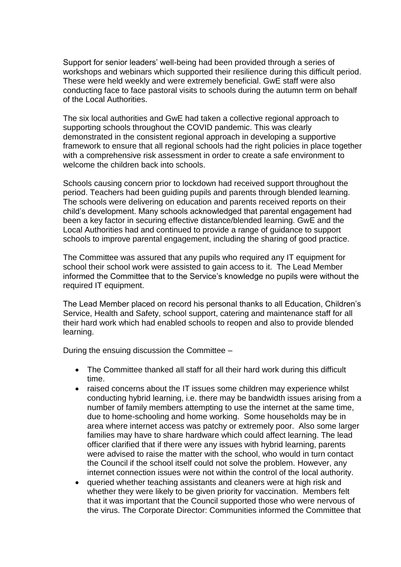Support for senior leaders' well-being had been provided through a series of workshops and webinars which supported their resilience during this difficult period. These were held weekly and were extremely beneficial. GwE staff were also conducting face to face pastoral visits to schools during the autumn term on behalf of the Local Authorities.

The six local authorities and GwE had taken a collective regional approach to supporting schools throughout the COVID pandemic. This was clearly demonstrated in the consistent regional approach in developing a supportive framework to ensure that all regional schools had the right policies in place together with a comprehensive risk assessment in order to create a safe environment to welcome the children back into schools.

Schools causing concern prior to lockdown had received support throughout the period. Teachers had been guiding pupils and parents through blended learning. The schools were delivering on education and parents received reports on their child's development. Many schools acknowledged that parental engagement had been a key factor in securing effective distance/blended learning. GwE and the Local Authorities had and continued to provide a range of guidance to support schools to improve parental engagement, including the sharing of good practice.

The Committee was assured that any pupils who required any IT equipment for school their school work were assisted to gain access to it. The Lead Member informed the Committee that to the Service's knowledge no pupils were without the required IT equipment.

The Lead Member placed on record his personal thanks to all Education, Children's Service, Health and Safety, school support, catering and maintenance staff for all their hard work which had enabled schools to reopen and also to provide blended learning.

During the ensuing discussion the Committee –

- The Committee thanked all staff for all their hard work during this difficult time.
- raised concerns about the IT issues some children may experience whilst conducting hybrid learning, i.e. there may be bandwidth issues arising from a number of family members attempting to use the internet at the same time, due to home-schooling and home working. Some households may be in area where internet access was patchy or extremely poor. Also some larger families may have to share hardware which could affect learning. The lead officer clarified that if there were any issues with hybrid learning, parents were advised to raise the matter with the school, who would in turn contact the Council if the school itself could not solve the problem. However, any internet connection issues were not within the control of the local authority.
- queried whether teaching assistants and cleaners were at high risk and whether they were likely to be given priority for vaccination. Members felt that it was important that the Council supported those who were nervous of the virus. The Corporate Director: Communities informed the Committee that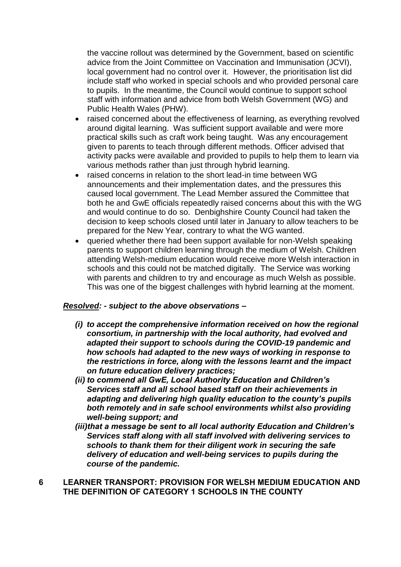the vaccine rollout was determined by the Government, based on scientific advice from the Joint Committee on Vaccination and Immunisation (JCVI), local government had no control over it. However, the prioritisation list did include staff who worked in special schools and who provided personal care to pupils. In the meantime, the Council would continue to support school staff with information and advice from both Welsh Government (WG) and Public Health Wales (PHW).

- raised concerned about the effectiveness of learning, as everything revolved around digital learning. Was sufficient support available and were more practical skills such as craft work being taught. Was any encouragement given to parents to teach through different methods. Officer advised that activity packs were available and provided to pupils to help them to learn via various methods rather than just through hybrid learning.
- raised concerns in relation to the short lead-in time between WG announcements and their implementation dates, and the pressures this caused local government. The Lead Member assured the Committee that both he and GwE officials repeatedly raised concerns about this with the WG and would continue to do so. Denbighshire County Council had taken the decision to keep schools closed until later in January to allow teachers to be prepared for the New Year, contrary to what the WG wanted.
- queried whether there had been support available for non-Welsh speaking parents to support children learning through the medium of Welsh. Children attending Welsh-medium education would receive more Welsh interaction in schools and this could not be matched digitally. The Service was working with parents and children to try and encourage as much Welsh as possible. This was one of the biggest challenges with hybrid learning at the moment.

## *Resolved: - subject to the above observations –*

- *(i) to accept the comprehensive information received on how the regional consortium, in partnership with the local authority, had evolved and adapted their support to schools during the COVID-19 pandemic and how schools had adapted to the new ways of working in response to the restrictions in force, along with the lessons learnt and the impact on future education delivery practices;*
- *(ii) to commend all GwE, Local Authority Education and Children's Services staff and all school based staff on their achievements in adapting and delivering high quality education to the county's pupils both remotely and in safe school environments whilst also providing well-being support; and*
- *(iii)that a message be sent to all local authority Education and Children's Services staff along with all staff involved with delivering services to schools to thank them for their diligent work in securing the safe delivery of education and well-being services to pupils during the course of the pandemic.*
- **6 LEARNER TRANSPORT: PROVISION FOR WELSH MEDIUM EDUCATION AND THE DEFINITION OF CATEGORY 1 SCHOOLS IN THE COUNTY**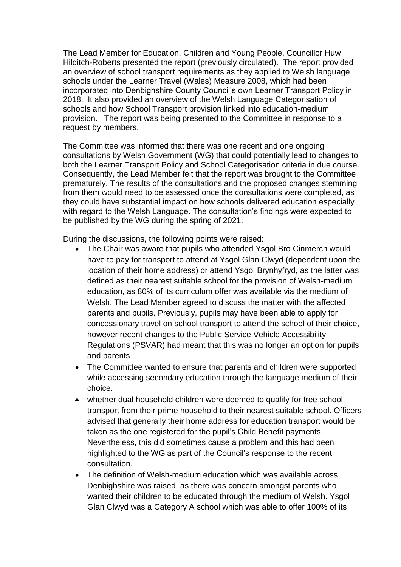The Lead Member for Education, Children and Young People, Councillor Huw Hilditch-Roberts presented the report (previously circulated). The report provided an overview of school transport requirements as they applied to Welsh language schools under the Learner Travel (Wales) Measure 2008, which had been incorporated into Denbighshire County Council's own Learner Transport Policy in 2018. It also provided an overview of the Welsh Language Categorisation of schools and how School Transport provision linked into education-medium provision. The report was being presented to the Committee in response to a request by members.

The Committee was informed that there was one recent and one ongoing consultations by Welsh Government (WG) that could potentially lead to changes to both the Learner Transport Policy and School Categorisation criteria in due course. Consequently, the Lead Member felt that the report was brought to the Committee prematurely. The results of the consultations and the proposed changes stemming from them would need to be assessed once the consultations were completed, as they could have substantial impact on how schools delivered education especially with regard to the Welsh Language. The consultation's findings were expected to be published by the WG during the spring of 2021.

During the discussions, the following points were raised:

- The Chair was aware that pupils who attended Ysgol Bro Cinmerch would have to pay for transport to attend at Ysgol Glan Clwyd (dependent upon the location of their home address) or attend Ysgol Brynhyfryd, as the latter was defined as their nearest suitable school for the provision of Welsh-medium education, as 80% of its curriculum offer was available via the medium of Welsh. The Lead Member agreed to discuss the matter with the affected parents and pupils. Previously, pupils may have been able to apply for concessionary travel on school transport to attend the school of their choice, however recent changes to the Public Service Vehicle Accessibility Regulations (PSVAR) had meant that this was no longer an option for pupils and parents
- The Committee wanted to ensure that parents and children were supported while accessing secondary education through the language medium of their choice.
- whether dual household children were deemed to qualify for free school transport from their prime household to their nearest suitable school. Officers advised that generally their home address for education transport would be taken as the one registered for the pupil's Child Benefit payments. Nevertheless, this did sometimes cause a problem and this had been highlighted to the WG as part of the Council's response to the recent consultation.
- The definition of Welsh-medium education which was available across Denbighshire was raised, as there was concern amongst parents who wanted their children to be educated through the medium of Welsh. Ysgol Glan Clwyd was a Category A school which was able to offer 100% of its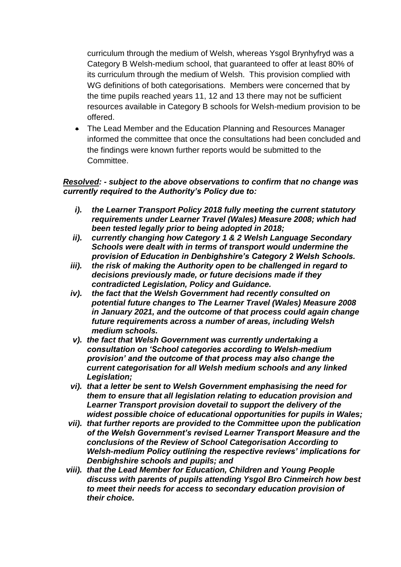curriculum through the medium of Welsh, whereas Ysgol Brynhyfryd was a Category B Welsh-medium school, that guaranteed to offer at least 80% of its curriculum through the medium of Welsh. This provision complied with WG definitions of both categorisations. Members were concerned that by the time pupils reached years 11, 12 and 13 there may not be sufficient resources available in Category B schools for Welsh-medium provision to be offered.

• The Lead Member and the Education Planning and Resources Manager informed the committee that once the consultations had been concluded and the findings were known further reports would be submitted to the Committee.

## *Resolved: - subject to the above observations to confirm that no change was currently required to the Authority's Policy due to:*

- *i). the Learner Transport Policy 2018 fully meeting the current statutory requirements under Learner Travel (Wales) Measure 2008; which had been tested legally prior to being adopted in 2018;*
- *ii). currently changing how Category 1 & 2 Welsh Language Secondary Schools were dealt with in terms of transport would undermine the provision of Education in Denbighshire's Category 2 Welsh Schools.*
- *iii). the risk of making the Authority open to be challenged in regard to decisions previously made, or future decisions made if they contradicted Legislation, Policy and Guidance.*
- *iv). the fact that the Welsh Government had recently consulted on potential future changes to The Learner Travel (Wales) Measure 2008 in January 2021, and the outcome of that process could again change future requirements across a number of areas, including Welsh medium schools.*
- *v). the fact that Welsh Government was currently undertaking a consultation on 'School categories according to Welsh-medium provision' and the outcome of that process may also change the current categorisation for all Welsh medium schools and any linked Legislation;*
- *vi). that a letter be sent to Welsh Government emphasising the need for them to ensure that all legislation relating to education provision and Learner Transport provision dovetail to support the delivery of the widest possible choice of educational opportunities for pupils in Wales;*
- *vii). that further reports are provided to the Committee upon the publication of the Welsh Government's revised Learner Transport Measure and the conclusions of the Review of School Categorisation According to Welsh-medium Policy outlining the respective reviews' implications for Denbighshire schools and pupils; and*
- *viii). that the Lead Member for Education, Children and Young People discuss with parents of pupils attending Ysgol Bro Cinmeirch how best to meet their needs for access to secondary education provision of their choice.*